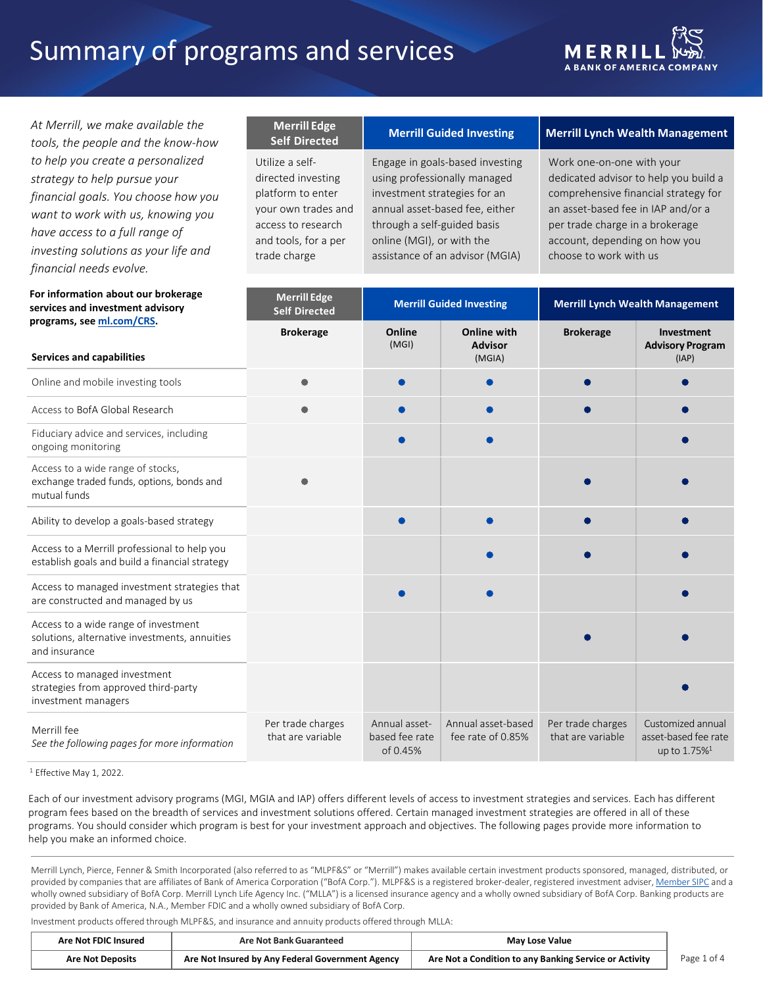# Summary of programs and services



 *At Merrill, we make available the tools, the people and the know-how financial goals. You choose how you want to work with us, knowing you have access to a full range of investing solutions as your life and to help you create a personalized strategy to help pursue your financial needs evolve.* 

# **For information about our brokerage services and investment advisory**

# **Self Directed**

your own trades and and tools, for a per

# **Merrill Edge Merrill Guided Investing Self Directed Merrill Lynch Wealth Management**

using professionally managed investment strategies for an annual asset-based fee, either online (MGI), or with the trade charge assistance of an advisor (MGIA) choose to work with us Utilize a self-<br>
Engage in goals-based investing access to research through a self-guided basis per trade charge in a brokerage

Work one-on-one with your directed investing using professionally managed dedicated advisor to help you build a platform to enter investment strategies for an comprehensive financial strategy for your own trades and annual asset-based fee, either an asset-based fee in IAP and/or a choose to work with us account, depending on how you

| For information about our brokerage<br>services and investment advisory                                | <b>Merrill Edge</b><br><b>Self Directed</b> | <b>Merrill Guided Investing</b>             |                                                | <b>Merrill Lynch Wealth Management</b> |                                                                          |
|--------------------------------------------------------------------------------------------------------|---------------------------------------------|---------------------------------------------|------------------------------------------------|----------------------------------------|--------------------------------------------------------------------------|
| programs, see ml.com/CRS.<br><b>Services and capabilities</b>                                          | <b>Brokerage</b>                            | Online<br>(MGI)                             | <b>Online with</b><br><b>Advisor</b><br>(MGIA) | <b>Brokerage</b>                       | Investment<br><b>Advisory Program</b><br>(IAP)                           |
| Online and mobile investing tools                                                                      |                                             |                                             |                                                |                                        |                                                                          |
| Access to BofA Global Research                                                                         |                                             |                                             |                                                |                                        |                                                                          |
| Fiduciary advice and services, including<br>ongoing monitoring                                         |                                             |                                             |                                                |                                        |                                                                          |
| Access to a wide range of stocks,<br>exchange traded funds, options, bonds and<br>mutual funds         |                                             |                                             |                                                |                                        |                                                                          |
| Ability to develop a goals-based strategy                                                              |                                             |                                             |                                                |                                        |                                                                          |
| Access to a Merrill professional to help you<br>establish goals and build a financial strategy         |                                             |                                             |                                                |                                        |                                                                          |
| Access to managed investment strategies that<br>are constructed and managed by us                      |                                             |                                             |                                                |                                        |                                                                          |
| Access to a wide range of investment<br>solutions, alternative investments, annuities<br>and insurance |                                             |                                             |                                                |                                        |                                                                          |
| Access to managed investment<br>strategies from approved third-party<br>investment managers            |                                             |                                             |                                                |                                        |                                                                          |
| Merrill fee<br>See the following pages for more information                                            | Per trade charges<br>that are variable      | Annual asset-<br>based fee rate<br>of 0.45% | Annual asset-based<br>fee rate of 0.85%        | Per trade charges<br>that are variable | Customized annual<br>asset-based fee rate<br>up to $1.75\%$ <sup>1</sup> |

<sup>1</sup> Effective May 1, 2022.

 Each of our investment advisory programs (MGI, MGIA and IAP) offers different levels of access to investment strategies and services. Each has different program fees based on the breadth of services and investment solutions offered. Certain managed investment strategies are offered in all of these programs. You should consider which program is best for your investment approach and objectives. The following pages provide more information to help you make an informed choice.

 Merrill Lynch, Pierce, Fenner & Smith Incorporated (also referred to as "MLPF&S" or "Merrill") makes available certain investment products sponsored, managed, distributed, or provided by companies that are affiliates of Bank of America Corporation ("BofA Corp."). MLPF&S is a registered broker-dealer, registered investment adviser, <u>Member SIPC</u> and a wholly owned subsidiary of BofA Corp. Merrill Lynch Life Agency Inc. ("MLLA") is a licensed insurance agency and a wholly owned subsidiary of BofA Corp. Banking products are provided by Bank of America, N.A., Member FDIC and a wholly owned subsidiary of BofA Corp.

Investment products offered through MLPF&S, and insurance and annuity products offered through MLLA:

| <b>Are Not FDIC Insured</b> | Are Not Bank Guaranteed                          | <b>May Lose Value</b>                                  |              |
|-----------------------------|--------------------------------------------------|--------------------------------------------------------|--------------|
| <b>Are Not Deposits</b>     | Are Not Insured by Any Federal Government Agency | Are Not a Condition to any Banking Service or Activity | Page<br>ot 4 |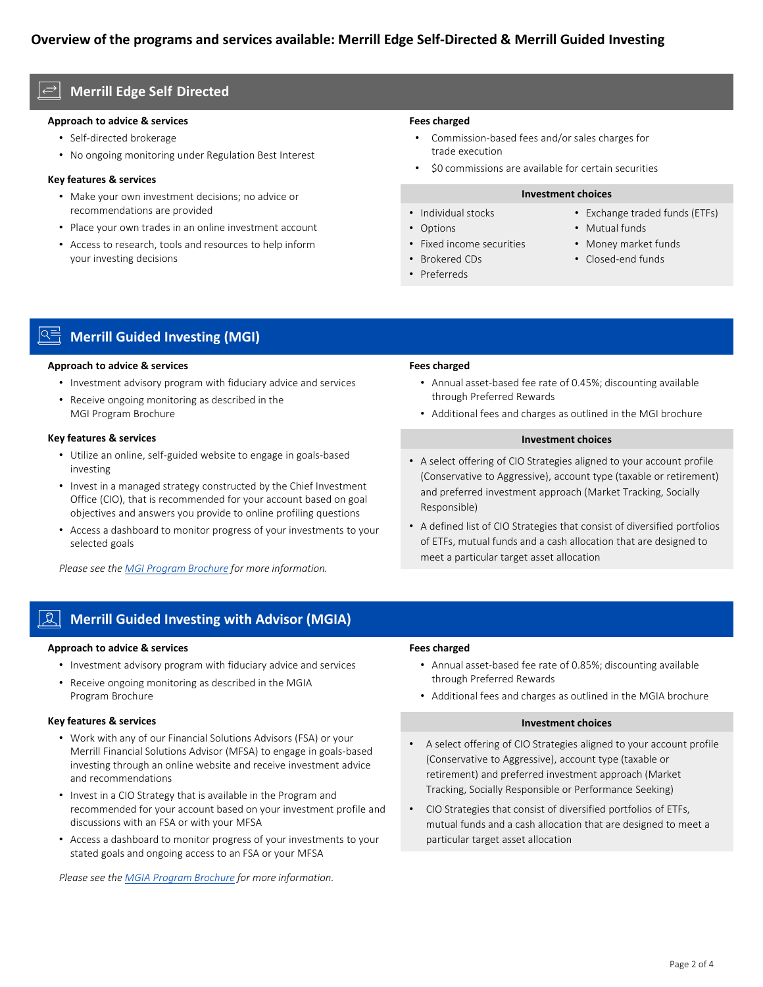# **- Merrill Edge Self Directed**

# **Approach to advice & services**

- Self-directed brokerage
- No ongoing monitoring under Regulation Best Interest

# **Key features & services**

- • Make your own investment decisions; no advice or recommendations are provided
- Place your own trades in an online investment account
- • Access to research, tools and resources to help inform your investing decisions

# **Fees charged**

- • Commission-based fees and/or sales charges for trade execution
- \$0 commissions are available for certain securities

#### **Investment choices**

- 
- 
- Fixed income securities Money market funds
- Brokered CDs Closed-end funds
- Preferreds
- Individual stocks Exchange traded funds (ETFs)
- Options Mutual funds
	-
	-

**Merrill Guided Investing (MGI)** 

# **Approach to advice & services**

- Investment advisory program with fiduciary advice and services
- • Receive ongoing monitoring as described in the MGI Program Brochure

# **Key features & services**

- Utilize an online, self-guided website to engage in goals-based investing
- • Invest in a managed strategy constructed by the Chief Investment Office (CIO), that is recommended for your account based on goal objectives and answers you provide to online profiling questions
- • Access a dashboard to monitor progress of your investments to your selected goals

*Please see the [MGI Program Brochure](https://olui2.fs.ml.com/publish/content/application/pdf/gwmol/merrill-edge-guided-investing-program-brochure.pdf) for more information.* 

# **Fees charged**

- • Annual asset-based fee rate of 0.45%; discounting available through Preferred Rewards
- Additional fees and charges as outlined in the MGI brochure

# **Investment choices**

- • A select offering of CIO Strategies aligned to your account profile (Conservative to Aggressive), account type (taxable or retirement) and preferred investment approach (Market Tracking, Socially Responsible)
- • A defined list of CIO Strategies that consist of diversified portfolios of ETFs, mutual funds and a cash allocation that are designed to meet a particular target asset allocation

# **Merrill Guided Investing with Advisor (MGIA)**

# **Approach to advice & services**

- Investment advisory program with fiduciary advice and services
- • Receive ongoing monitoring as described in the MGIA Program Brochure

# **Key features & services**

- • Work with any of our Financial Solutions Advisors (FSA) or your Merrill Financial Solutions Advisor (MFSA) to engage in goals-based investing through an online website and receive investment advice and recommendations
- • Invest in a CIO Strategy that is available in the Program and recommended for your account based on your investment profile and discussions with an FSA or with your MFSA
- • Access a dashboard to monitor progress of your investments to your stated goals and ongoing access to an FSA or your MFSA

*Please see the [MGIA Program Brochure](https://olui2.fs.ml.com/publish/content/application/pdf/gwmol/guided-investing-program-brochure.pdf) for more information.* 

# **Fees charged**

- • Annual asset-based fee rate of 0.85%; discounting available through Preferred Rewards
- Additional fees and charges as outlined in the MGIA brochure

#### **Investment choices**

- • A select offering of CIO Strategies aligned to your account profile (Conservative to Aggressive), account type (taxable or retirement) and preferred investment approach (Market Tracking, Socially Responsible or Performance Seeking)
- • CIO Strategies that consist of diversified portfolios of ETFs, mutual funds and a cash allocation that are designed to meet a particular target asset allocation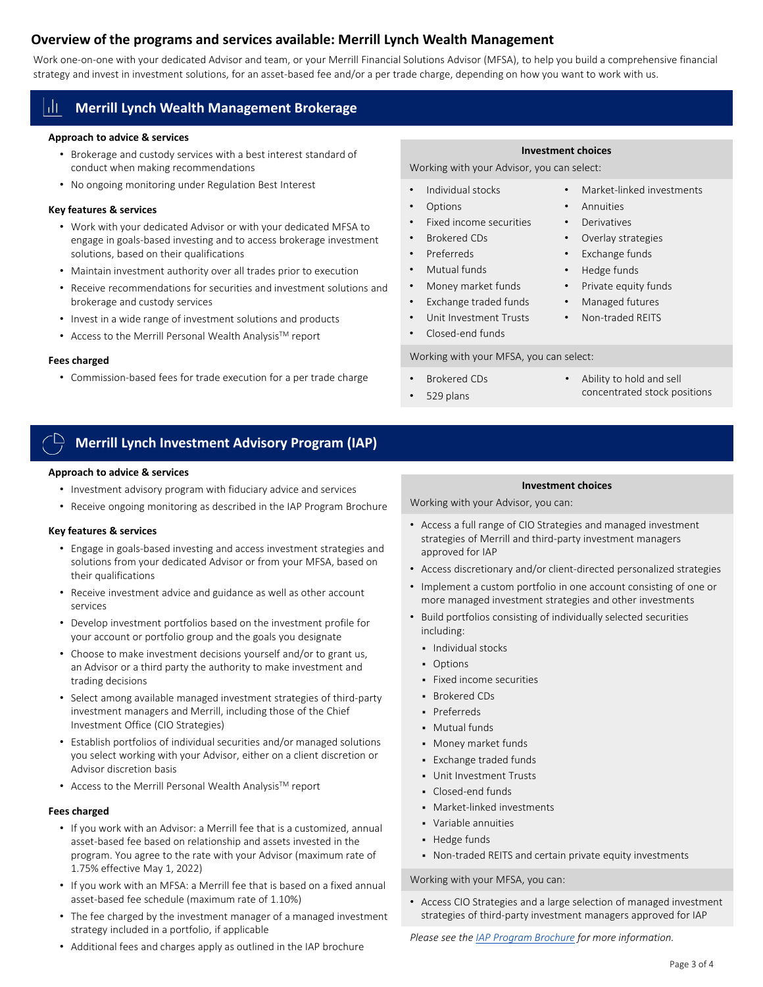# **Overview of the programs and services available: Merrill Lynch Wealth Management**

 Work one-on-one with your dedicated Advisor and team, or your Merrill Financial Solutions Advisor (MFSA), to help you build a comprehensive financial strategy and invest in investment solutions, for an asset-based fee and/or a per trade charge, depending on how you want to work with us.

# **Merrill Lynch Wealth Management Brokerage**

# **Approach to advice & services**

- • Brokerage and custody services with a best interest standard of conduct when making recommendations
- No ongoing monitoring under Regulation Best Interest

# **Key features & services**

- • Work with your dedicated Advisor or with your dedicated MFSA to engage in goals-based investing and to access brokerage investment solutions, based on their qualifications
- Maintain investment authority over all trades prior to execution
- • Receive recommendations for securities and investment solutions and brokerage and custody services
- Invest in a wide range of investment solutions and products
- Access to the Merrill Personal Wealth Analysis™ report

# **Fees charged**

• Commission-based fees for trade execution for a per trade charge

### **Investment choices**

Working with your Advisor, you can select:

- Individual stocks Market-linked investments
- Options Annuities
- Fixed income securities Derivatives
- Brokered CDs Overlay strategies
- Preferreds Exchange funds
- Mutual funds Hedge funds
- Money market funds Private equity funds
- Exchange traded funds Managed futures
- Unit Investment Trusts Non-traded REITS
- Closed-end funds

Working with your MFSA, you can select:

- Brokered CDs Ability to hold and sell
- concentrated stock positions 529 plans
- 
- 
- 
- 
- 
- 
- 
- 
- 

# **Merrill Lynch Investment Advisory Program (IAP)**

# **Approach to advice & services**

- Investment advisory program with fiduciary advice and services
- Receive ongoing monitoring as described in the IAP Program Brochure

# **Key features & services**

- • Engage in goals-based investing and access investment strategies and solutions from your dedicated Advisor or from your MFSA, based on their qualifications
- • Receive investment advice and guidance as well as other account services
- • Develop investment portfolios based on the investment profile for your account or portfolio group and the goals you designate
- • Choose to make investment decisions yourself and/or to grant us, an Advisor or a third party the authority to make investment and trading decisions
- • Select among available managed investment strategies of third-party investment managers and Merrill, including those of the Chief Investment Office (CIO Strategies)
- • Establish portfolios of individual securities and/or managed solutions you select working with your Advisor, either on a client discretion or Advisor discretion basis
- Access to the Merrill Personal Wealth Analysis™ report

# **Fees charged**

- • If you work with an Advisor: a Merrill fee that is a customized, annual asset-based fee based on relationship and assets invested in the program. You agree to the rate with your Advisor (maximum rate of 1.75% effective May 1, 2022)
- • If you work with an MFSA: a Merrill fee that is based on a fixed annual asset-based fee schedule (maximum rate of 1.10%)
- • The fee charged by the investment manager of a managed investment strategy included in a portfolio, if applicable
- Additional fees and charges apply as outlined in the IAP brochure

# **Investment choices**

Working with your Advisor, you can:

- • Access a full range of CIO Strategies and managed investment strategies of Merrill and third-party investment managers approved for IAP
- Access discretionary and/or client-directed personalized strategies
- • Implement a custom portfolio in one account consisting of one or more managed investment strategies and other investments
- • Build portfolios consisting of individually selected securities including:
	- **Individual stocks**
	- **-** Options
	- Fixed income securities
	- **Brokered CDs**
	- **Preferreds**
	- Mutual funds
	- Money market funds
	- Exchange traded funds
	- Unit Investment Trusts
	- Closed-end funds
	- **Market-linked investments**
	- Variable annuities
	- **Hedge funds**
	- Non-traded REITS and certain private equity investments

# Working with your MFSA, you can:

 • Access CIO Strategies and a large selection of managed investment strategies of third-party investment managers approved for IAP

*Please see the [IAP Program Brochure](https://olui2.fs.ml.com/Publish/Content/application/pdf/GWMOL/mliap-wrap-fee-program-brochure-adv2a.pdf) for more information.*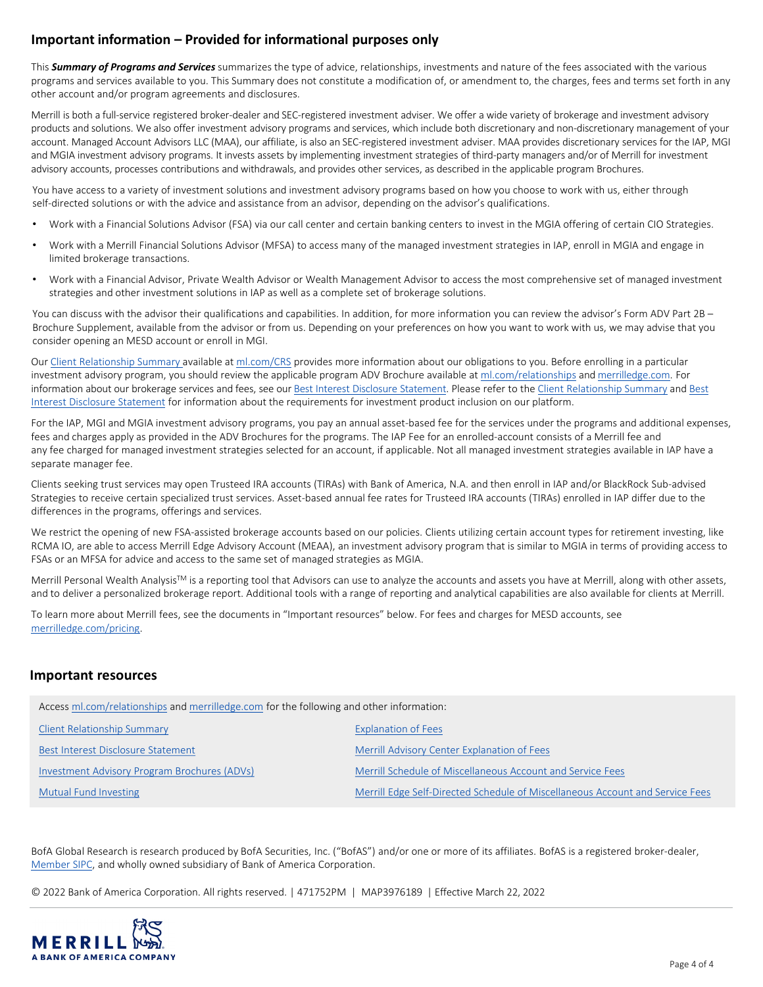# **Important information – Provided for informational purposes only**

 This *Summary of Programs and Services* summarizes the type of advice, relationships, investments and nature of the fees associated with the various programs and services available to you. This Summary does not constitute a modification of, or amendment to, the charges, fees and terms set forth in any other account and/or program agreements and disclosures.

 products and solutions. We also offer investment advisory programs and services, which include both discretionary and non-discretionary management of your account. Managed Account Advisors LLC (MAA), our affiliate, is also an SEC-registered investment adviser. MAA provides discretionary services for the IAP, MGI and MGIA investment advisory programs. It invests assets by implementing investment strategies of third-party managers and/or of Merrill for investment advisory accounts, processes contributions and withdrawals, and provides other services, as described in the applicable program Brochures. Merrill is both a full-service registered broker-dealer and SEC-registered investment adviser. We offer a wide variety of brokerage and investment advisory

 You have access to a variety of investment solutions and investment advisory programs based on how you choose to work with us, either through self-directed solutions or with the advice and assistance from an advisor, depending on the advisor's qualifications.

- Work with a Financial Solutions Advisor (FSA) via our call center and certain banking centers to invest in the MGIA offering of certain CIO Strategies.
- • Work with a Merrill Financial Solutions Advisor (MFSA) to access many of the managed investment strategies in IAP, enroll in MGIA and engage in limited brokerage transactions.
- • Work with a Financial Advisor, Private Wealth Advisor or Wealth Management Advisor to access the most comprehensive set of managed investment strategies and other investment solutions in IAP as well as a complete set of brokerage solutions.

 You can discuss with the advisor their qualifications and capabilities. In addition, for more information you can review the advisor's Form ADV Part 2B – Brochure Supplement, available from the advisor or from us. Depending on your preferences on how you want to work with us, we may advise that you consider opening an MESD account or enroll in MGI.

Our [Client Relationship Summary a](https://olui2.fs.ml.com/publish/content/application/pdf/GWMOL/Client_Relationship_Summary_CRS.pdf)vailable at [ml.com/CRS](https://olui2.fs.ml.com/publish/content/application/pdf/GWMOL/Client_Relationship_Summary_CRS.pdf) provides more information about our obligations to you. Before enrolling in a particular investment advisory program, you should review the applicable program ADV Brochure available at [ml.com/relationships](https://www.ml.com/solutions/understanding-our-services-and-fees-when-you-work-with-an-advisor.html) and [merrilledge.com.](https://www.merrilledge.com/investing/making-informed-decisions) For information about our brokerage services and fees, see our **Best Interest Disclosure Statement**. Please refer to the [Client Relationship Summary](https://olui2.fs.ml.com/publish/content/application/pdf/GWMOL/Client_Relationship_Summary_CRS.pdf) and Best [Interest Disclosure Statement](https://olui2.fs.ml.com/publish/content/application/pdf/GWMOL/Regulation-Best-Interest-Disclosure-Statement_RBIDISC.pdf) for information about the requirements for investment product inclusion on our platform.

 For the IAP, MGI and MGIA investment advisory programs, you pay an annual asset-based fee for the services under the programs and additional expenses, fees and charges apply as provided in the ADV Brochures for the programs. The IAP Fee for an enrolled-account consists of a Merrill fee and any fee charged for managed investment strategies selected for an account, if applicable. Not all managed investment strategies available in IAP have a separate manager fee.

 Clients seeking trust services may open Trusteed IRA accounts (TIRAs) with Bank of America, N.A. and then enroll in IAP and/or BlackRock Sub-advised Strategies to receive certain specialized trust services. Asset-based annual fee rates for Trusteed IRA accounts (TIRAs) enrolled in IAP differ due to the differences in the programs, offerings and services.

 We restrict the opening of new FSA-assisted brokerage accounts based on our policies. Clients utilizing certain account types for retirement investing, like RCMA IO, are able to access Merrill Edge Advisory Account (MEAA), an investment advisory program that is similar to MGIA in terms of providing access to FSAs or an MFSA for advice and access to the same set of managed strategies as MGIA.

Merrill Personal Wealth Analysis™ is a reporting tool that Advisors can use to analyze the accounts and assets you have at Merrill, along with other assets, and to deliver a personalized brokerage report. Additional tools with a range of reporting and analytical capabilities are also available for clients at Merrill.

 To learn more about Merrill fees, see the documents in "Important resources" below. For fees and charges for MESD accounts, see [merrilledge.com/pricing](https://www.merrilledge.com/pricing).

# **Important resources**

Access [ml.com/relationships](https://www.ml.com/solutions/understanding-our-services-and-fees-when-you-work-with-an-advisor.html) and [merrilledge.com](https://www.merrilledge.com/investing/making-informed-decisions) for the following and other information:

| <b>Client Relationship Summary</b>           | <b>Explanation of Fees</b>                                                    |
|----------------------------------------------|-------------------------------------------------------------------------------|
| Best Interest Disclosure Statement           | Merrill Advisory Center Explanation of Fees                                   |
| Investment Advisory Program Brochures (ADVs) | Merrill Schedule of Miscellaneous Account and Service Fees                    |
| <b>Mutual Fund Investing</b>                 | Merrill Edge Self-Directed Schedule of Miscellaneous Account and Service Fees |

 BofA Global Research is research produced by BofA Securities, Inc. ("BofAS") and/or one or more of its affiliates. BofAS is a registered broker-dealer, [Member SIPC](http://www.sipc.org/), and wholly owned subsidiary of Bank of America Corporation.

© 2022 Bank of America Corporation. All rights reserved. | 471752PM | MAP3976189 | Effective March 22, 2022

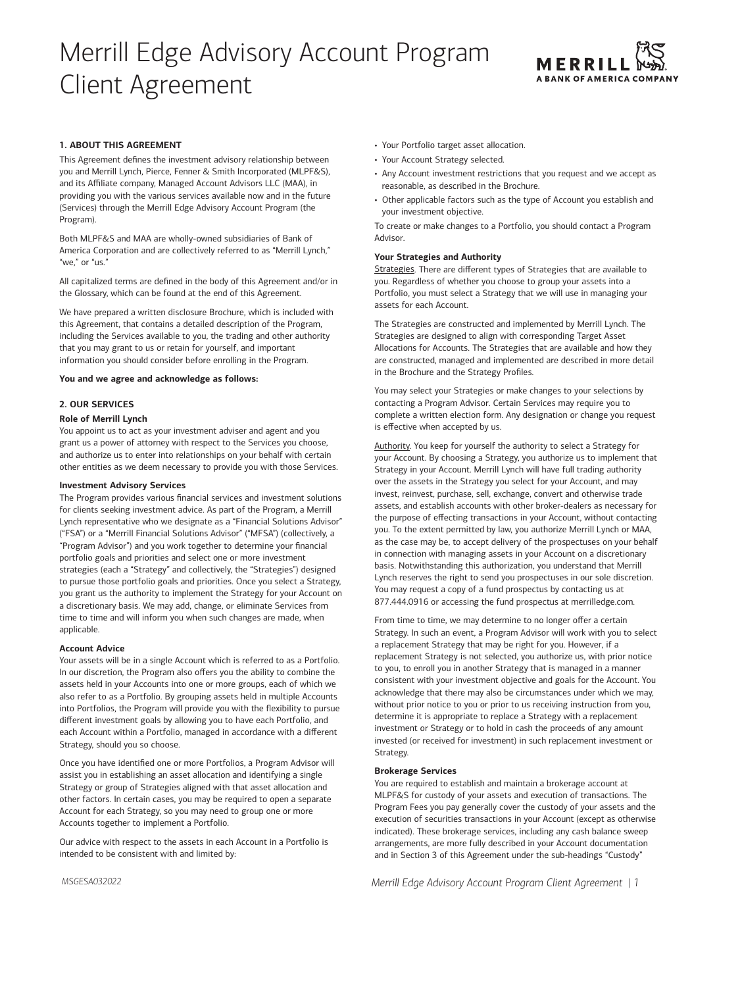# Merrill Edge Advisory Account Program Client Agreement



# **1. ABOUT THIS AGREEMENT**

This Agreement defines the investment advisory relationship between you and Merrill Lynch, Pierce, Fenner & Smith Incorporated (MLPF&S), and its Affiliate company, Managed Account Advisors LLC (MAA), in providing you with the various services available now and in the future (Services) through the Merrill Edge Advisory Account Program (the Program).

Both MLPF&S and MAA are wholly-owned subsidiaries of Bank of America Corporation and are collectively referred to as "Merrill Lynch," "we," or "us."

All capitalized terms are defined in the body of this Agreement and/or in the Glossary, which can be found at the end of this Agreement.

We have prepared a written disclosure Brochure, which is included with this Agreement, that contains a detailed description of the Program, including the Services available to you, the trading and other authority that you may grant to us or retain for yourself, and important information you should consider before enrolling in the Program.

**You and we agree and acknowledge as follows:** 

# **2. OUR SERVICES**

#### **Role of Merrill Lynch**

You appoint us to act as your investment adviser and agent and you grant us a power of attorney with respect to the Services you choose, and authorize us to enter into relationships on your behalf with certain other entities as we deem necessary to provide you with those Services.

# **Investment Advisory Services**

The Program provides various financial services and investment solutions for clients seeking investment advice. As part of the Program, a Merrill Lynch representative who we designate as a "Financial Solutions Advisor" ("FSA") or a "Merrill Financial Solutions Advisor" ("MFSA") (collectively, a "Program Advisor") and you work together to determine your financial portfolio goals and priorities and select one or more investment strategies (each a "Strategy" and collectively, the "Strategies") designed to pursue those portfolio goals and priorities. Once you select a Strategy, you grant us the authority to implement the Strategy for your Account on a discretionary basis. We may add, change, or eliminate Services from time to time and will inform you when such changes are made, when applicable.

# **Account Advice**

Your assets will be in a single Account which is referred to as a Portfolio. In our discretion, the Program also offers you the ability to combine the assets held in your Accounts into one or more groups, each of which we also refer to as a Portfolio. By grouping assets held in multiple Accounts into Portfolios, the Program will provide you with the flexibility to pursue different investment goals by allowing you to have each Portfolio, and each Account within a Portfolio, managed in accordance with a different Strategy, should you so choose.

Once you have identified one or more Portfolios, a Program Advisor will assist you in establishing an asset allocation and identifying a single Strategy or group of Strategies aligned with that asset allocation and other factors. In certain cases, you may be required to open a separate Account for each Strategy, so you may need to group one or more Accounts together to implement a Portfolio.

Our advice with respect to the assets in each Account in a Portfolio is intended to be consistent with and limited by:

- Your Portfolio target asset allocation.
- Your Account Strategy selected.
- Any Account investment restrictions that you request and we accept as reasonable, as described in the Brochure.
- Other applicable factors such as the type of Account you establish and your investment objective.

To create or make changes to a Portfolio, you should contact a Program Advisor.

#### **Your Strategies and Authority**

Strategies. There are different types of Strategies that are available to you. Regardless of whether you choose to group your assets into a Portfolio, you must select a Strategy that we will use in managing your assets for each Account.

The Strategies are constructed and implemented by Merrill Lynch. The Strategies are designed to align with corresponding Target Asset Allocations for Accounts. The Strategies that are available and how they are constructed, managed and implemented are described in more detail in the Brochure and the Strategy Profiles.

You may select your Strategies or make changes to your selections by contacting a Program Advisor. Certain Services may require you to complete a written election form. Any designation or change you request is effective when accepted by us.

Authority. You keep for yourself the authority to select a Strategy for your Account. By choosing a Strategy, you authorize us to implement that Strategy in your Account. Merrill Lynch will have full trading authority over the assets in the Strategy you select for your Account, and may invest, reinvest, purchase, sell, exchange, convert and otherwise trade assets, and establish accounts with other broker-dealers as necessary for the purpose of effecting transactions in your Account, without contacting you. To the extent permitted by law, you authorize Merrill Lynch or MAA, as the case may be, to accept delivery of the prospectuses on your behalf in connection with managing assets in your Account on a discretionary basis. Notwithstanding this authorization, you understand that Merrill Lynch reserves the right to send you prospectuses in our sole discretion. You may request a copy of a fund prospectus by contacting us at 877.444.0916 or accessing the fund prospectus at [merrilledge.com.](https://www.merrilledge.com)

From time to time, we may determine to no longer offer a certain Strategy. In such an event, a Program Advisor will work with you to select a replacement Strategy that may be right for you. However, if a replacement Strategy is not selected, you authorize us, with prior notice to you, to enroll you in another Strategy that is managed in a manner consistent with your investment objective and goals for the Account. You acknowledge that there may also be circumstances under which we may, without prior notice to you or prior to us receiving instruction from you, determine it is appropriate to replace a Strategy with a replacement investment or Strategy or to hold in cash the proceeds of any amount invested (or received for investment) in such replacement investment or Strategy.

# **Brokerage Services**

You are required to establish and maintain a brokerage account at MLPF&S for custody of your assets and execution of transactions. The Program Fees you pay generally cover the custody of your assets and the execution of securities transactions in your Account (except as otherwise indicated). These brokerage services, including any cash balance sweep arrangements, are more fully described in your Account documentation and in Section 3 of this Agreement under the sub-headings "Custody"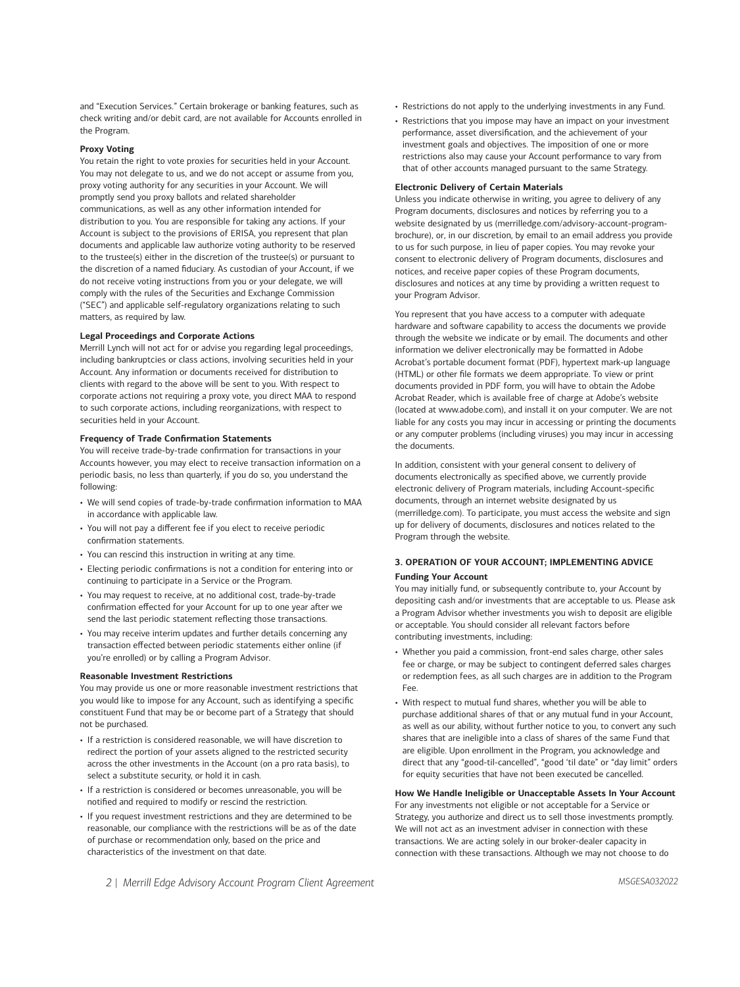and "Execution Services." Certain brokerage or banking features, such as check writing and/or debit card, are not available for Accounts enrolled in the Program.

# **Proxy Voting**

You retain the right to vote proxies for securities held in your Account. You may not delegate to us, and we do not accept or assume from you, proxy voting authority for any securities in your Account. We will promptly send you proxy ballots and related shareholder communications, as well as any other information intended for distribution to you. You are responsible for taking any actions. If your Account is subject to the provisions of ERISA, you represent that plan documents and applicable law authorize voting authority to be reserved to the trustee(s) either in the discretion of the trustee(s) or pursuant to the discretion of a named fiduciary. As custodian of your Account, if we do not receive voting instructions from you or your delegate, we will comply with the rules of the Securities and Exchange Commission ("SEC") and applicable self-regulatory organizations relating to such matters, as required by law.

#### **Legal Proceedings and Corporate Actions**

Merrill Lynch will not act for or advise you regarding legal proceedings, including bankruptcies or class actions, involving securities held in your Account. Any information or documents received for distribution to clients with regard to the above will be sent to you. With respect to corporate actions not requiring a proxy vote, you direct MAA to respond to such corporate actions, including reorganizations, with respect to securities held in your Account.

### **Frequency of Trade Confirmation Statements**

You will receive trade-by-trade confirmation for transactions in your Accounts however, you may elect to receive transaction information on a periodic basis, no less than quarterly, if you do so, you understand the following:

- We will send copies of trade-by-trade confirmation information to MAA in accordance with applicable law.
- You will not pay a different fee if you elect to receive periodic confirmation statements.
- You can rescind this instruction in writing at any time.
- Electing periodic confirmations is not a condition for entering into or continuing to participate in a Service or the Program.
- You may request to receive, at no additional cost, trade-by-trade confirmation effected for your Account for up to one year after we send the last periodic statement reflecting those transactions.
- You may receive interim updates and further details concerning any transaction effected between periodic statements either online (if you're enrolled) or by calling a Program Advisor.

#### **Reasonable Investment Restrictions**

You may provide us one or more reasonable investment restrictions that you would like to impose for any Account, such as identifying a specific constituent Fund that may be or become part of a Strategy that should not be purchased.

- If a restriction is considered reasonable, we will have discretion to redirect the portion of your assets aligned to the restricted security across the other investments in the Account (on a pro rata basis), to select a substitute security, or hold it in cash.
- If a restriction is considered or becomes unreasonable, you will be notified and required to modify or rescind the restriction.
- If you request investment restrictions and they are determined to be reasonable, our compliance with the restrictions will be as of the date of purchase or recommendation only, based on the price and characteristics of the investment on that date.
- Restrictions do not apply to the underlying investments in any Fund.
- Restrictions that you impose may have an impact on your investment performance, asset diversification, and the achievement of your investment goals and objectives. The imposition of one or more restrictions also may cause your Account performance to vary from that of other accounts managed pursuant to the same Strategy.

#### **Electronic Delivery of Certain Materials**

Unless you indicate otherwise in writing, you agree to delivery of any Program documents, disclosures and notices by referring you to a website designated by us [\(merrilledge.com/advisory-account-program](https://olui2.fs.ml.com/publish/content/application/pdf/gwmol/me_advisory_account_disclosure_form_adv_2a.pdf)[brochure\)](https://olui2.fs.ml.com/publish/content/application/pdf/gwmol/me_advisory_account_disclosure_form_adv_2a.pdf), or, in our discretion, by email to an email address you provide to us for such purpose, in lieu of paper copies. You may revoke your consent to electronic delivery of Program documents, disclosures and notices, and receive paper copies of these Program documents, disclosures and notices at any time by providing a written request to your Program Advisor.

You represent that you have access to a computer with adequate hardware and software capability to access the documents we provide through the website we indicate or by email. The documents and other information we deliver electronically may be formatted in Adobe Acrobat's portable document format (PDF), hypertext mark-up language (HTML) or other file formats we deem appropriate. To view or print documents provided in PDF form, you will have to obtain the Adobe Acrobat Reader, which is available free of charge at Adobe's website (located at [www.adobe.com\)](https://www.adobe.com), and install it on your computer. We are not liable for any costs you may incur in accessing or printing the documents or any computer problems (including viruses) you may incur in accessing the documents.

In addition, consistent with your general consent to delivery of documents electronically as specified above, we currently provide electronic delivery of Program materials, including Account-specific documents, through an internet website designated by us [\(merrilledge.com\)](https://www.merrilledge.com/). To participate, you must access the website and sign up for delivery of documents, disclosures and notices related to the Program through the website.

# **3. OPERATION OF YOUR ACCOUNT; IMPLEMENTING ADVICE Funding Your Account**

You may initially fund, or subsequently contribute to, your Account by depositing cash and/or investments that are acceptable to us. Please ask a Program Advisor whether investments you wish to deposit are eligible or acceptable. You should consider all relevant factors before contributing investments, including:

- Whether you paid a commission, front-end sales charge, other sales fee or charge, or may be subject to contingent deferred sales charges or redemption fees, as all such charges are in addition to the Program Fee.
- With respect to mutual fund shares, whether you will be able to purchase additional shares of that or any mutual fund in your Account, as well as our ability, without further notice to you, to convert any such shares that are ineligible into a class of shares of the same Fund that are eligible. Upon enrollment in the Program, you acknowledge and direct that any "good-til-cancelled", "good 'til date" or "day limit" orders for equity securities that have not been executed be cancelled.

# **How We Handle Ineligible or Unacceptable Assets In Your Account**  For any investments not eligible or not acceptable for a Service or Strategy, you authorize and direct us to sell those investments promptly. We will not act as an investment adviser in connection with these transactions. We are acting solely in our broker-dealer capacity in connection with these transactions. Although we may not choose to do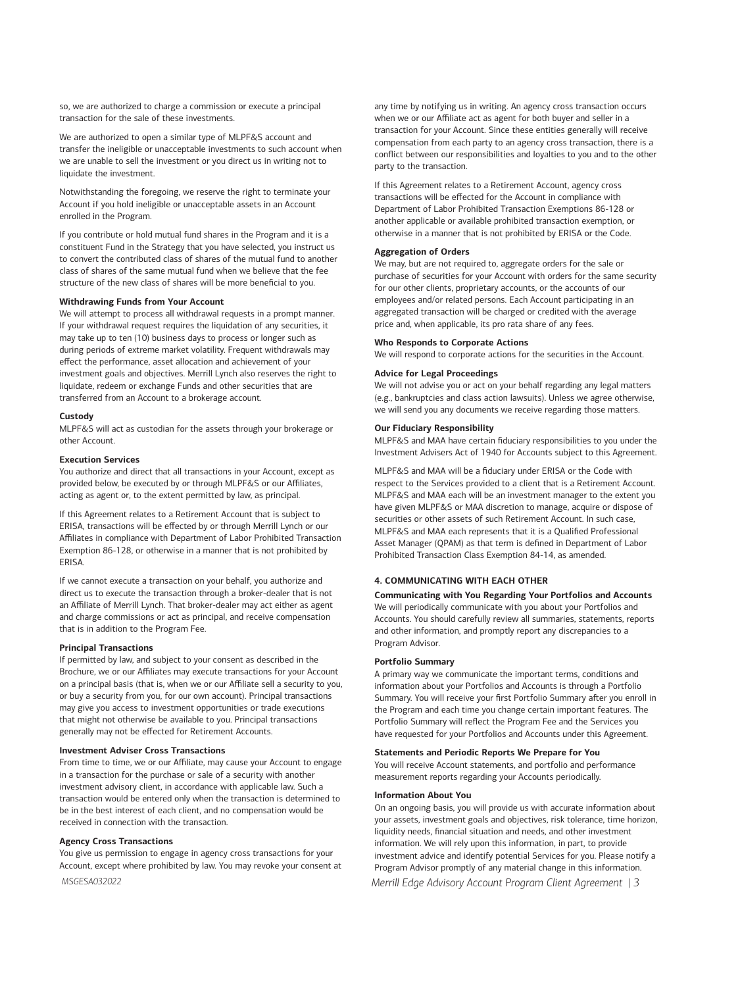so, we are authorized to charge a commission or execute a principal transaction for the sale of these investments.

We are authorized to open a similar type of MLPF&S account and transfer the ineligible or unacceptable investments to such account when we are unable to sell the investment or you direct us in writing not to liquidate the investment.

Notwithstanding the foregoing, we reserve the right to terminate your Account if you hold ineligible or unacceptable assets in an Account enrolled in the Program.

If you contribute or hold mutual fund shares in the Program and it is a constituent Fund in the Strategy that you have selected, you instruct us to convert the contributed class of shares of the mutual fund to another class of shares of the same mutual fund when we believe that the fee structure of the new class of shares will be more beneficial to you.

# **Withdrawing Funds from Your Account**

We will attempt to process all withdrawal requests in a prompt manner. If your withdrawal request requires the liquidation of any securities, it may take up to ten (10) business days to process or longer such as during periods of extreme market volatility. Frequent withdrawals may effect the performance, asset allocation and achievement of your investment goals and objectives. Merrill Lynch also reserves the right to liquidate, redeem or exchange Funds and other securities that are transferred from an Account to a brokerage account.

#### **Custody**

MLPF&S will act as custodian for the assets through your brokerage or other Account.

# **Execution Services**

You authorize and direct that all transactions in your Account, except as provided below, be executed by or through MLPF&S or our Affiliates, acting as agent or, to the extent permitted by law, as principal.

If this Agreement relates to a Retirement Account that is subject to ERISA, transactions will be effected by or through Merrill Lynch or our Affiliates in compliance with Department of Labor Prohibited Transaction Exemption 86-128, or otherwise in a manner that is not prohibited by ERISA.

If we cannot execute a transaction on your behalf, you authorize and direct us to execute the transaction through a broker-dealer that is not an Affiliate of Merrill Lynch. That broker-dealer may act either as agent and charge commissions or act as principal, and receive compensation that is in addition to the Program Fee.

#### **Principal Transactions**

If permitted by law, and subject to your consent as described in the Brochure, we or our Affiliates may execute transactions for your Account on a principal basis (that is, when we or our Affiliate sell a security to you, or buy a security from you, for our own account). Principal transactions may give you access to investment opportunities or trade executions that might not otherwise be available to you. Principal transactions generally may not be effected for Retirement Accounts.

# **Investment Adviser Cross Transactions**

From time to time, we or our Affiliate, may cause your Account to engage in a transaction for the purchase or sale of a security with another investment advisory client, in accordance with applicable law. Such a transaction would be entered only when the transaction is determined to be in the best interest of each client, and no compensation would be received in connection with the transaction.

### **Agency Cross Transactions**

You give us permission to engage in agency cross transactions for your Account, except where prohibited by law. You may revoke your consent at any time by notifying us in writing. An agency cross transaction occurs when we or our Affiliate act as agent for both buyer and seller in a transaction for your Account. Since these entities generally will receive compensation from each party to an agency cross transaction, there is a conflict between our responsibilities and loyalties to you and to the other party to the transaction.

If this Agreement relates to a Retirement Account, agency cross transactions will be effected for the Account in compliance with Department of Labor Prohibited Transaction Exemptions 86-128 or another applicable or available prohibited transaction exemption, or otherwise in a manner that is not prohibited by ERISA or the Code.

#### **Aggregation of Orders**

We may, but are not required to, aggregate orders for the sale or purchase of securities for your Account with orders for the same security for our other clients, proprietary accounts, or the accounts of our employees and/or related persons. Each Account participating in an aggregated transaction will be charged or credited with the average price and, when applicable, its pro rata share of any fees.

#### **Who Responds to Corporate Actions**

We will respond to corporate actions for the securities in the Account.

# **Advice for Legal Proceedings**

We will not advise you or act on your behalf regarding any legal matters (e.g., bankruptcies and class action lawsuits). Unless we agree otherwise, we will send you any documents we receive regarding those matters.

# **Our Fiduciary Responsibility**

MLPF&S and MAA have certain fiduciary responsibilities to you under the Investment Advisers Act of 1940 for Accounts subject to this Agreement.

MLPF&S and MAA will be a fiduciary under ERISA or the Code with respect to the Services provided to a client that is a Retirement Account. MLPF&S and MAA each will be an investment manager to the extent you have given MLPF&S or MAA discretion to manage, acquire or dispose of securities or other assets of such Retirement Account. In such case, MLPF&S and MAA each represents that it is a Qualified Professional Asset Manager (QPAM) as that term is defined in Department of Labor Prohibited Transaction Class Exemption 84-14, as amended.

#### **4. COMMUNICATING WITH EACH OTHER**

**Communicating with You Regarding Your Portfolios and Accounts** 

We will periodically communicate with you about your Portfolios and Accounts. You should carefully review all summaries, statements, reports and other information, and promptly report any discrepancies to a Program Advisor.

# **Portfolio Summary**

A primary way we communicate the important terms, conditions and information about your Portfolios and Accounts is through a Portfolio Summary. You will receive your first Portfolio Summary after you enroll in the Program and each time you change certain important features. The Portfolio Summary will reflect the Program Fee and the Services you have requested for your Portfolios and Accounts under this Agreement.

#### **Statements and Periodic Reports We Prepare for You**

You will receive Account statements, and portfolio and performance measurement reports regarding your Accounts periodically.

#### **Information About You**

On an ongoing basis, you will provide us with accurate information about your assets, investment goals and objectives, risk tolerance, time horizon, liquidity needs, financial situation and needs, and other investment information. We will rely upon this information, in part, to provide investment advice and identify potential Services for you. Please notify a Program Advisor promptly of any material change in this information.

*Merrill Edge Advisory Account Program Client Agreement | 3*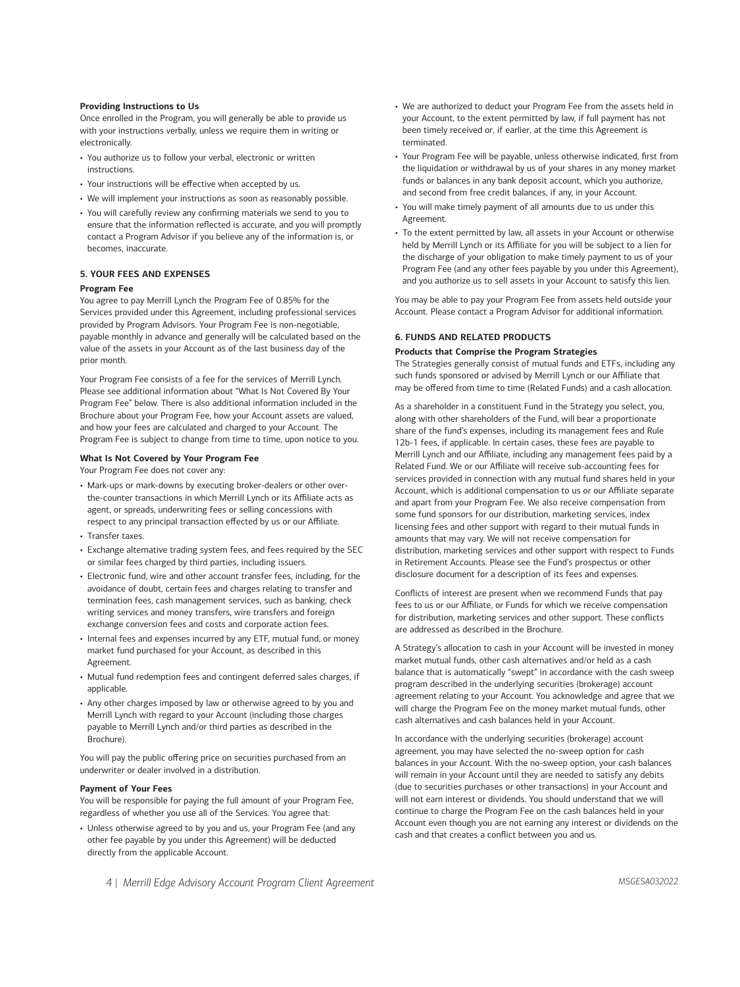#### **Providing Instructions to Us**

Once enrolled in the Program, you will generally be able to provide us with your instructions verbally, unless we require them in writing or electronically.

- You authorize us to follow your verbal, electronic or written instructions.
- Your instructions will be effective when accepted by us.
- We will implement your instructions as soon as reasonably possible.
- You will carefully review any confirming materials we send to you to ensure that the information reflected is accurate, and you will promptly contact a Program Advisor if you believe any of the information is, or becomes, inaccurate.

# **5. YOUR FEES AND EXPENSES**

### **Program Fee**

You agree to pay Merrill Lynch the Program Fee of 0.85% for the Services provided under this Agreement, including professional services provided by Program Advisors. Your Program Fee is non-negotiable, payable monthly in advance and generally will be calculated based on the value of the assets in your Account as of the last business day of the prior month.

Your Program Fee consists of a fee for the services of Merrill Lynch. Please see additional information about "What Is Not Covered By Your Program Fee" below. There is also additional information included in the Brochure about your Program Fee, how your Account assets are valued, and how your fees are calculated and charged to your Account. The Program Fee is subject to change from time to time, upon notice to you.

### **What Is Not Covered by Your Program Fee**

Your Program Fee does not cover any:

- Mark-ups or mark-downs by executing broker-dealers or other overthe-counter transactions in which Merrill Lynch or its Affiliate acts as agent, or spreads, underwriting fees or selling concessions with respect to any principal transaction effected by us or our Affiliate.
- Transfer taxes.
- Exchange alternative trading system fees, and fees required by the SEC or similar fees charged by third parties, including issuers.
- Electronic fund, wire and other account transfer fees, including, for the avoidance of doubt, certain fees and charges relating to transfer and termination fees, cash management services, such as banking, check writing services and money transfers, wire transfers and foreign exchange conversion fees and costs and corporate action fees.
- Internal fees and expenses incurred by any ETF, mutual fund, or money market fund purchased for your Account, as described in this Agreement.
- Mutual fund redemption fees and contingent deferred sales charges, if applicable.
- Any other charges imposed by law or otherwise agreed to by you and Merrill Lynch with regard to your Account (including those charges payable to Merrill Lynch and/or third parties as described in the Brochure).

You will pay the public offering price on securities purchased from an underwriter or dealer involved in a distribution.

#### **Payment of Your Fees**

You will be responsible for paying the full amount of your Program Fee, regardless of whether you use all of the Services. You agree that:

• Unless otherwise agreed to by you and us, your Program Fee (and any other fee payable by you under this Agreement) will be deducted directly from the applicable Account.

- We are authorized to deduct your Program Fee from the assets held in your Account, to the extent permitted by law, if full payment has not been timely received or, if earlier, at the time this Agreement is terminated.
- Your Program Fee will be payable, unless otherwise indicated, first from the liquidation or withdrawal by us of your shares in any money market funds or balances in any bank deposit account, which you authorize, and second from free credit balances, if any, in your Account.
- You will make timely payment of all amounts due to us under this Agreement.
- To the extent permitted by law, all assets in your Account or otherwise held by Merrill Lynch or its Affiliate for you will be subject to a lien for the discharge of your obligation to make timely payment to us of your Program Fee (and any other fees payable by you under this Agreement), and you authorize us to sell assets in your Account to satisfy this lien.

You may be able to pay your Program Fee from assets held outside your Account. Please contact a Program Advisor for additional information.

#### **6. FUNDS AND RELATED PRODUCTS**

#### **Products that Comprise the Program Strategies**

The Strategies generally consist of mutual funds and ETFs, including any such funds sponsored or advised by Merrill Lynch or our Affiliate that may be offered from time to time (Related Funds) and a cash allocation.

As a shareholder in a constituent Fund in the Strategy you select, you, along with other shareholders of the Fund, will bear a proportionate share of the fund's expenses, including its management fees and Rule 12b-1 fees, if applicable. In certain cases, these fees are payable to Merrill Lynch and our Affiliate, including any management fees paid by a Related Fund. We or our Affiliate will receive sub-accounting fees for services provided in connection with any mutual fund shares held in your Account, which is additional compensation to us or our Affiliate separate and apart from your Program Fee. We also receive compensation from some fund sponsors for our distribution, marketing services, index licensing fees and other support with regard to their mutual funds in amounts that may vary. We will not receive compensation for distribution, marketing services and other support with respect to Funds in Retirement Accounts. Please see the Fund's prospectus or other disclosure document for a description of its fees and expenses.

Conflicts of interest are present when we recommend Funds that pay fees to us or our Affiliate, or Funds for which we receive compensation for distribution, marketing services and other support. These conflicts are addressed as described in the Brochure.

A Strategy's allocation to cash in your Account will be invested in money market mutual funds, other cash alternatives and/or held as a cash balance that is automatically "swept" in accordance with the cash sweep program described in the underlying securities (brokerage) account agreement relating to your Account. You acknowledge and agree that we will charge the Program Fee on the money market mutual funds, other cash alternatives and cash balances held in your Account.

In accordance with the underlying securities (brokerage) account agreement, you may have selected the no-sweep option for cash balances in your Account. With the no-sweep option, your cash balances will remain in your Account until they are needed to satisfy any debits (due to securities purchases or other transactions) in your Account and will not earn interest or dividends. You should understand that we will continue to charge the Program Fee on the cash balances held in your Account even though you are not earning any interest or dividends on the cash and that creates a conflict between you and us.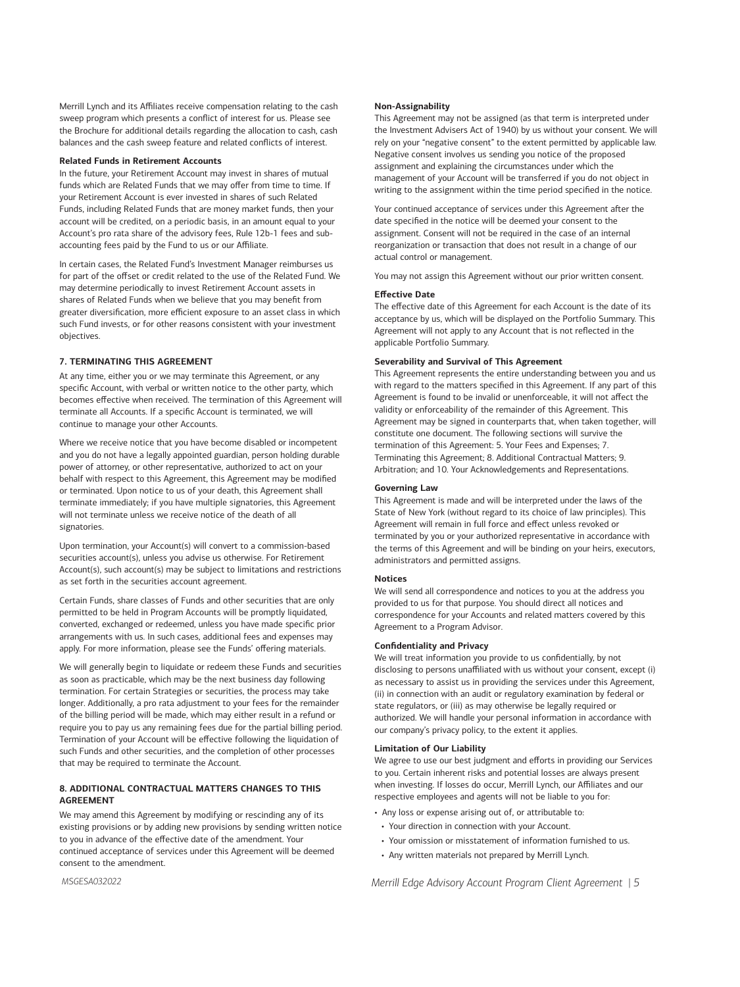Merrill Lynch and its Affiliates receive compensation relating to the cash sweep program which presents a conflict of interest for us. Please see the Brochure for additional details regarding the allocation to cash, cash balances and the cash sweep feature and related conflicts of interest.

#### **Related Funds in Retirement Accounts**

In the future, your Retirement Account may invest in shares of mutual funds which are Related Funds that we may offer from time to time. If your Retirement Account is ever invested in shares of such Related Funds, including Related Funds that are money market funds, then your account will be credited, on a periodic basis, in an amount equal to your Account's pro rata share of the advisory fees, Rule 12b-1 fees and subaccounting fees paid by the Fund to us or our Affiliate.

In certain cases, the Related Fund's Investment Manager reimburses us for part of the offset or credit related to the use of the Related Fund. We may determine periodically to invest Retirement Account assets in shares of Related Funds when we believe that you may benefit from greater diversification, more efficient exposure to an asset class in which such Fund invests, or for other reasons consistent with your investment objectives.

# **7. TERMINATING THIS AGREEMENT**

At any time, either you or we may terminate this Agreement, or any specific Account, with verbal or written notice to the other party, which becomes effective when received. The termination of this Agreement will terminate all Accounts. If a specific Account is terminated, we will continue to manage your other Accounts.

Where we receive notice that you have become disabled or incompetent and you do not have a legally appointed guardian, person holding durable power of attorney, or other representative, authorized to act on your behalf with respect to this Agreement, this Agreement may be modified or terminated. Upon notice to us of your death, this Agreement shall terminate immediately; if you have multiple signatories, this Agreement will not terminate unless we receive notice of the death of all signatories.

Upon termination, your Account(s) will convert to a commission-based securities account(s), unless you advise us otherwise. For Retirement Account(s), such account(s) may be subject to limitations and restrictions as set forth in the securities account agreement.

Certain Funds, share classes of Funds and other securities that are only permitted to be held in Program Accounts will be promptly liquidated, converted, exchanged or redeemed, unless you have made specific prior arrangements with us. In such cases, additional fees and expenses may apply. For more information, please see the Funds' offering materials.

We will generally begin to liquidate or redeem these Funds and securities as soon as practicable, which may be the next business day following termination. For certain Strategies or securities, the process may take longer. Additionally, a pro rata adjustment to your fees for the remainder of the billing period will be made, which may either result in a refund or require you to pay us any remaining fees due for the partial billing period. Termination of your Account will be effective following the liquidation of such Funds and other securities, and the completion of other processes that may be required to terminate the Account.

# **8. ADDITIONAL CONTRACTUAL MATTERS CHANGES TO THIS AGREEMENT**

We may amend this Agreement by modifying or rescinding any of its existing provisions or by adding new provisions by sending written notice to you in advance of the effective date of the amendment. Your continued acceptance of services under this Agreement will be deemed consent to the amendment.

#### **Non-Assignability**

This Agreement may not be assigned (as that term is interpreted under the Investment Advisers Act of 1940) by us without your consent. We will rely on your "negative consent" to the extent permitted by applicable law. Negative consent involves us sending you notice of the proposed assignment and explaining the circumstances under which the management of your Account will be transferred if you do not object in writing to the assignment within the time period specified in the notice.

Your continued acceptance of services under this Agreement after the date specified in the notice will be deemed your consent to the assignment. Consent will not be required in the case of an internal reorganization or transaction that does not result in a change of our actual control or management.

You may not assign this Agreement without our prior written consent.

#### **Effective Date**

The effective date of this Agreement for each Account is the date of its acceptance by us, which will be displayed on the Portfolio Summary. This Agreement will not apply to any Account that is not reflected in the applicable Portfolio Summary.

# **Severability and Survival of This Agreement**

This Agreement represents the entire understanding between you and us with regard to the matters specified in this Agreement. If any part of this Agreement is found to be invalid or unenforceable, it will not affect the validity or enforceability of the remainder of this Agreement. This Agreement may be signed in counterparts that, when taken together, will constitute one document. The following sections will survive the termination of this Agreement: 5. Your Fees and Expenses; 7. Terminating this Agreement; 8. Additional Contractual Matters; 9. Arbitration; and 10. Your Acknowledgements and Representations.

#### **Governing Law**

This Agreement is made and will be interpreted under the laws of the State of New York (without regard to its choice of law principles). This Agreement will remain in full force and effect unless revoked or terminated by you or your authorized representative in accordance with the terms of this Agreement and will be binding on your heirs, executors, administrators and permitted assigns.

#### **Notices**

We will send all correspondence and notices to you at the address you provided to us for that purpose. You should direct all notices and correspondence for your Accounts and related matters covered by this Agreement to a Program Advisor.

#### **Confidentiality and Privacy**

We will treat information you provide to us confidentially, by not disclosing to persons unaffiliated with us without your consent, except (i) as necessary to assist us in providing the services under this Agreement, (ii) in connection with an audit or regulatory examination by federal or state regulators, or (iii) as may otherwise be legally required or authorized. We will handle your personal information in accordance with our company's privacy policy, to the extent it applies.

#### **Limitation of Our Liability**

We agree to use our best judgment and efforts in providing our Services to you. Certain inherent risks and potential losses are always present when investing. If losses do occur, Merrill Lynch, our Affiliates and our respective employees and agents will not be liable to you for:

- Any loss or expense arising out of, or attributable to:
- Your direction in connection with your Account.
- Your omission or misstatement of information furnished to us.
- Any written materials not prepared by Merrill Lynch.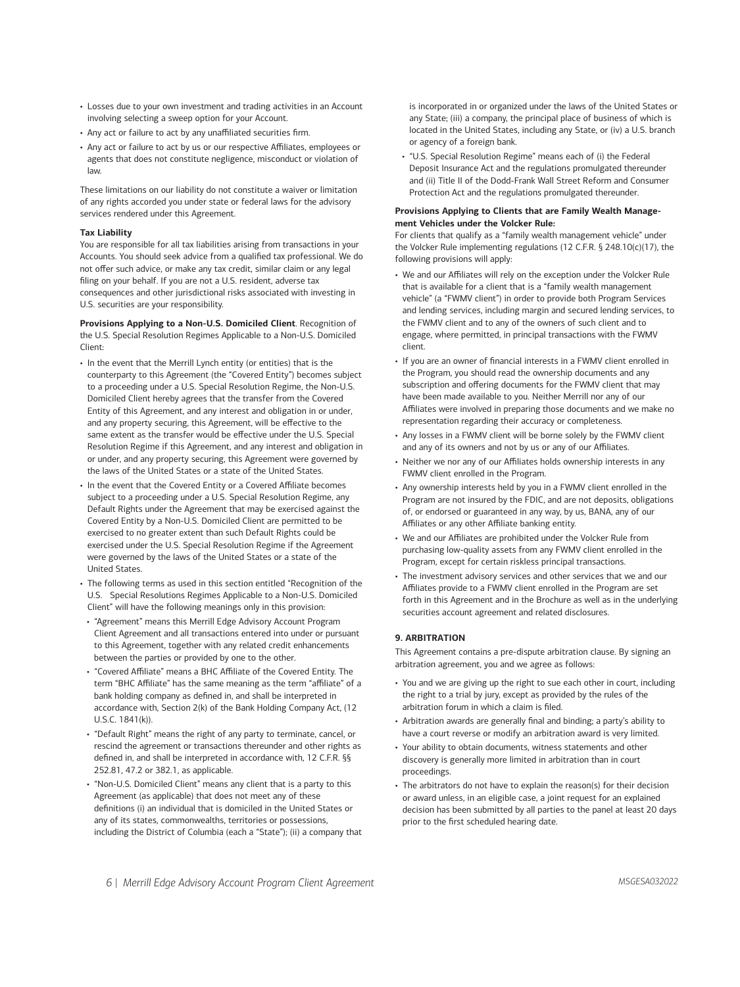- Losses due to your own investment and trading activities in an Account involving selecting a sweep option for your Account.
- Any act or failure to act by any unaffiliated securities firm.
- Any act or failure to act by us or our respective Affiliates, employees or agents that does not constitute negligence, misconduct or violation of law.

These limitations on our liability do not constitute a waiver or limitation of any rights accorded you under state or federal laws for the advisory services rendered under this Agreement.

# **Tax Liability**

You are responsible for all tax liabilities arising from transactions in your Accounts. You should seek advice from a qualified tax professional. We do not offer such advice, or make any tax credit, similar claim or any legal filing on your behalf. If you are not a U.S. resident, adverse tax consequences and other jurisdictional risks associated with investing in U.S. securities are your responsibility.

**Provisions Applying to a Non-U.S. Domiciled Client**. Recognition of the U.S. Special Resolution Regimes Applicable to a Non-U.S. Domiciled Client:

- In the event that the Merrill Lynch entity (or entities) that is the counterparty to this Agreement (the "Covered Entity") becomes subject to a proceeding under a U.S. Special Resolution Regime, the Non-U.S. Domiciled Client hereby agrees that the transfer from the Covered Entity of this Agreement, and any interest and obligation in or under, and any property securing, this Agreement, will be effective to the same extent as the transfer would be effective under the U.S. Special Resolution Regime if this Agreement, and any interest and obligation in or under, and any property securing, this Agreement were governed by the laws of the United States or a state of the United States.
- In the event that the Covered Entity or a Covered Affiliate becomes subject to a proceeding under a U.S. Special Resolution Regime, any Default Rights under the Agreement that may be exercised against the Covered Entity by a Non-U.S. Domiciled Client are permitted to be exercised to no greater extent than such Default Rights could be exercised under the U.S. Special Resolution Regime if the Agreement were governed by the laws of the United States or a state of the United States.
- The following terms as used in this section entitled "Recognition of the U.S. Special Resolutions Regimes Applicable to a Non-U.S. Domiciled Client" will have the following meanings only in this provision:
- "Agreement" means this Merrill Edge Advisory Account Program Client Agreement and all transactions entered into under or pursuant to this Agreement, together with any related credit enhancements between the parties or provided by one to the other.
- "Covered Affiliate" means a BHC Affiliate of the Covered Entity. The term "BHC Affiliate" has the same meaning as the term "affiliate" of a bank holding company as defined in, and shall be interpreted in accordance with, Section 2(k) of the Bank Holding Company Act, (12 U.S.C. 1841(k)).
- "Default Right" means the right of any party to terminate, cancel, or rescind the agreement or transactions thereunder and other rights as defined in, and shall be interpreted in accordance with, 12 C.F.R. §§ 252.81, 47.2 or 382.1, as applicable.
- "Non-U.S. Domiciled Client" means any client that is a party to this Agreement (as applicable) that does not meet any of these definitions (i) an individual that is domiciled in the United States or any of its states, commonwealths, territories or possessions, including the District of Columbia (each a "State"); (ii) a company that

is incorporated in or organized under the laws of the United States or any State; (iii) a company, the principal place of business of which is located in the United States, including any State, or (iv) a U.S. branch or agency of a foreign bank.

• "U.S. Special Resolution Regime" means each of (i) the Federal Deposit Insurance Act and the regulations promulgated thereunder and (ii) Title II of the Dodd-Frank Wall Street Reform and Consumer Protection Act and the regulations promulgated thereunder.

### **Provisions Applying to Clients that are Family Wealth Management Vehicles under the Volcker Rule:**

For clients that qualify as a "family wealth management vehicle" under the Volcker Rule implementing regulations (12 C.F.R. § 248.10(c)(17), the following provisions will apply:

- We and our Affiliates will rely on the exception under the Volcker Rule that is available for a client that is a "family wealth management vehicle" (a "FWMV client") in order to provide both Program Services and lending services, including margin and secured lending services, to the FWMV client and to any of the owners of such client and to engage, where permitted, in principal transactions with the FWMV client.
- If you are an owner of financial interests in a FWMV client enrolled in the Program, you should read the ownership documents and any subscription and offering documents for the FWMV client that may have been made available to you. Neither Merrill nor any of our Affiliates were involved in preparing those documents and we make no representation regarding their accuracy or completeness.
- Any losses in a FWMV client will be borne solely by the FWMV client and any of its owners and not by us or any of our Affiliates.
- Neither we nor any of our Affiliates holds ownership interests in any FWMV client enrolled in the Program.
- Any ownership interests held by you in a FWMV client enrolled in the Program are not insured by the FDIC, and are not deposits, obligations of, or endorsed or guaranteed in any way, by us, BANA, any of our Affiliates or any other Affiliate banking entity.
- We and our Affiliates are prohibited under the Volcker Rule from purchasing low-quality assets from any FWMV client enrolled in the Program, except for certain riskless principal transactions.
- The investment advisory services and other services that we and our Affiliates provide to a FWMV client enrolled in the Program are set forth in this Agreement and in the Brochure as well as in the underlying securities account agreement and related disclosures.

# **9. ARBITRATION**

This Agreement contains a pre-dispute arbitration clause. By signing an arbitration agreement, you and we agree as follows:

- You and we are giving up the right to sue each other in court, including the right to a trial by jury, except as provided by the rules of the arbitration forum in which a claim is filed.
- Arbitration awards are generally final and binding; a party's ability to have a court reverse or modify an arbitration award is very limited.
- Your ability to obtain documents, witness statements and other discovery is generally more limited in arbitration than in court proceedings.
- The arbitrators do not have to explain the reason(s) for their decision or award unless, in an eligible case, a joint request for an explained decision has been submitted by all parties to the panel at least 20 days prior to the first scheduled hearing date.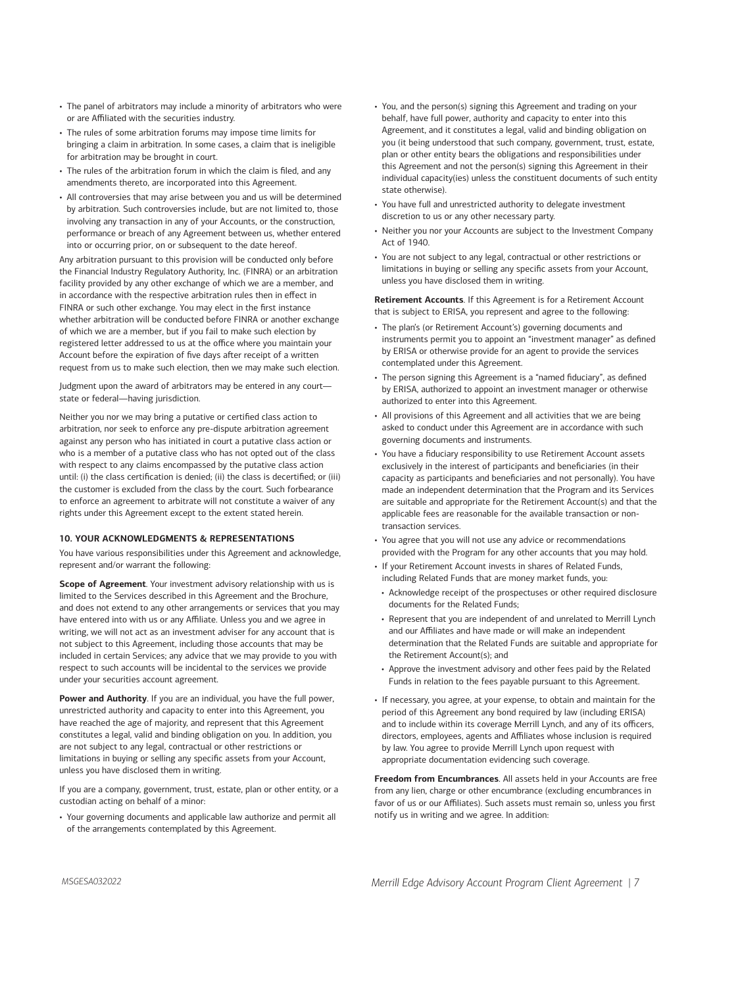- The panel of arbitrators may include a minority of arbitrators who were or are Affiliated with the securities industry.
- The rules of some arbitration forums may impose time limits for bringing a claim in arbitration. In some cases, a claim that is ineligible for arbitration may be brought in court.
- The rules of the arbitration forum in which the claim is filed, and any amendments thereto, are incorporated into this Agreement.
- All controversies that may arise between you and us will be determined by arbitration. Such controversies include, but are not limited to, those involving any transaction in any of your Accounts, or the construction, performance or breach of any Agreement between us, whether entered into or occurring prior, on or subsequent to the date hereof.

Any arbitration pursuant to this provision will be conducted only before the Financial Industry Regulatory Authority, Inc. (FINRA) or an arbitration facility provided by any other exchange of which we are a member, and in accordance with the respective arbitration rules then in effect in FINRA or such other exchange. You may elect in the first instance whether arbitration will be conducted before FINRA or another exchange of which we are a member, but if you fail to make such election by registered letter addressed to us at the office where you maintain your Account before the expiration of five days after receipt of a written request from us to make such election, then we may make such election.

Judgment upon the award of arbitrators may be entered in any court state or federal—having jurisdiction.

Neither you nor we may bring a putative or certified class action to arbitration, nor seek to enforce any pre-dispute arbitration agreement against any person who has initiated in court a putative class action or who is a member of a putative class who has not opted out of the class with respect to any claims encompassed by the putative class action until: (i) the class certification is denied; (ii) the class is decertified; or (iii) the customer is excluded from the class by the court. Such forbearance to enforce an agreement to arbitrate will not constitute a waiver of any rights under this Agreement except to the extent stated herein.

#### **10. YOUR ACKNOWLEDGMENTS & REPRESENTATIONS**

You have various responsibilities under this Agreement and acknowledge, represent and/or warrant the following:

**Scope of Agreement**. Your investment advisory relationship with us is limited to the Services described in this Agreement and the Brochure, and does not extend to any other arrangements or services that you may have entered into with us or any Affiliate. Unless you and we agree in writing, we will not act as an investment adviser for any account that is not subject to this Agreement, including those accounts that may be included in certain Services; any advice that we may provide to you with respect to such accounts will be incidental to the services we provide under your securities account agreement.

**Power and Authority**. If you are an individual, you have the full power, unrestricted authority and capacity to enter into this Agreement, you have reached the age of majority, and represent that this Agreement constitutes a legal, valid and binding obligation on you. In addition, you are not subject to any legal, contractual or other restrictions or limitations in buying or selling any specific assets from your Account, unless you have disclosed them in writing.

If you are a company, government, trust, estate, plan or other entity, or a custodian acting on behalf of a minor:

• Your governing documents and applicable law authorize and permit all of the arrangements contemplated by this Agreement.

- You, and the person(s) signing this Agreement and trading on your behalf, have full power, authority and capacity to enter into this Agreement, and it constitutes a legal, valid and binding obligation on you (it being understood that such company, government, trust, estate, plan or other entity bears the obligations and responsibilities under this Agreement and not the person(s) signing this Agreement in their individual capacity(ies) unless the constituent documents of such entity state otherwise).
- You have full and unrestricted authority to delegate investment discretion to us or any other necessary party.
- Neither you nor your Accounts are subject to the Investment Company Act of 1940.
- You are not subject to any legal, contractual or other restrictions or limitations in buying or selling any specific assets from your Account, unless you have disclosed them in writing.

**Retirement Accounts**. If this Agreement is for a Retirement Account that is subject to ERISA, you represent and agree to the following:

- The plan's (or Retirement Account's) governing documents and instruments permit you to appoint an "investment manager" as defined by ERISA or otherwise provide for an agent to provide the services contemplated under this Agreement.
- The person signing this Agreement is a "named fiduciary", as defined by ERISA, authorized to appoint an investment manager or otherwise authorized to enter into this Agreement.
- All provisions of this Agreement and all activities that we are being asked to conduct under this Agreement are in accordance with such governing documents and instruments.
- You have a fiduciary responsibility to use Retirement Account assets exclusively in the interest of participants and beneficiaries (in their capacity as participants and beneficiaries and not personally). You have made an independent determination that the Program and its Services are suitable and appropriate for the Retirement Account(s) and that the applicable fees are reasonable for the available transaction or nontransaction services.
- You agree that you will not use any advice or recommendations provided with the Program for any other accounts that you may hold.
- If your Retirement Account invests in shares of Related Funds, including Related Funds that are money market funds, you:
- Acknowledge receipt of the prospectuses or other required disclosure documents for the Related Funds;
- Represent that you are independent of and unrelated to Merrill Lynch and our Affiliates and have made or will make an independent determination that the Related Funds are suitable and appropriate for the Retirement Account(s); and
- Approve the investment advisory and other fees paid by the Related Funds in relation to the fees payable pursuant to this Agreement.
- If necessary, you agree, at your expense, to obtain and maintain for the period of this Agreement any bond required by law (including ERISA) and to include within its coverage Merrill Lynch, and any of its officers, directors, employees, agents and Affiliates whose inclusion is required by law. You agree to provide Merrill Lynch upon request with appropriate documentation evidencing such coverage.

**Freedom from Encumbrances**. All assets held in your Accounts are free from any lien, charge or other encumbrance (excluding encumbrances in favor of us or our Affiliates). Such assets must remain so, unless you first notify us in writing and we agree. In addition: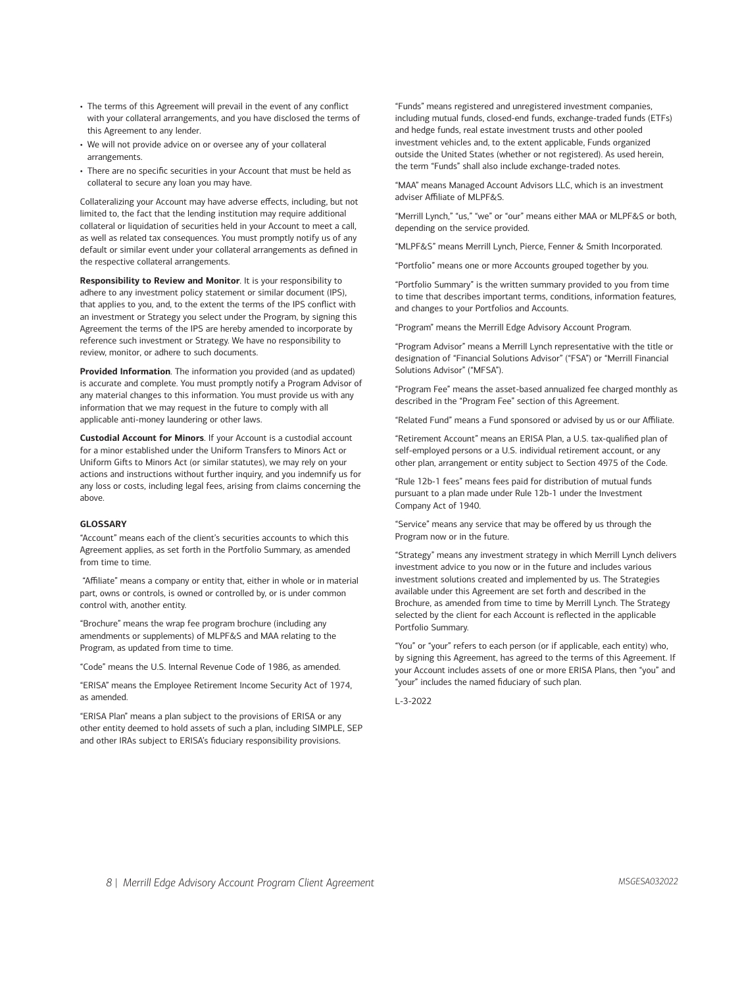- The terms of this Agreement will prevail in the event of any conflict with your collateral arrangements, and you have disclosed the terms of this Agreement to any lender.
- We will not provide advice on or oversee any of your collateral arrangements.
- There are no specific securities in your Account that must be held as collateral to secure any loan you may have.

Collateralizing your Account may have adverse effects, including, but not limited to, the fact that the lending institution may require additional collateral or liquidation of securities held in your Account to meet a call, as well as related tax consequences. You must promptly notify us of any default or similar event under your collateral arrangements as defined in the respective collateral arrangements.

**Responsibility to Review and Monitor**. It is your responsibility to adhere to any investment policy statement or similar document (IPS), that applies to you, and, to the extent the terms of the IPS conflict with an investment or Strategy you select under the Program, by signing this Agreement the terms of the IPS are hereby amended to incorporate by reference such investment or Strategy. We have no responsibility to review, monitor, or adhere to such documents.

**Provided Information**. The information you provided (and as updated) is accurate and complete. You must promptly notify a Program Advisor of any material changes to this information. You must provide us with any information that we may request in the future to comply with all applicable anti-money laundering or other laws.

**Custodial Account for Minors**. If your Account is a custodial account for a minor established under the Uniform Transfers to Minors Act or Uniform Gifts to Minors Act (or similar statutes), we may rely on your actions and instructions without further inquiry, and you indemnify us for any loss or costs, including legal fees, arising from claims concerning the above.

# **GLOSSARY**

"Account" means each of the client's securities accounts to which this Agreement applies, as set forth in the Portfolio Summary, as amended from time to time.

 "Affiliate" means a company or entity that, either in whole or in material part, owns or controls, is owned or controlled by, or is under common control with, another entity.

"Brochure" means the wrap fee program brochure (including any amendments or supplements) of MLPF&S and MAA relating to the Program, as updated from time to time.

"Code" means the U.S. Internal Revenue Code of 1986, as amended.

"ERISA" means the Employee Retirement Income Security Act of 1974, as amended.

"ERISA Plan" means a plan subject to the provisions of ERISA or any other entity deemed to hold assets of such a plan, including SIMPLE, SEP and other IRAs subject to ERISA's fiduciary responsibility provisions.

"Funds" means registered and unregistered investment companies, including mutual funds, closed-end funds, exchange-traded funds (ETFs) and hedge funds, real estate investment trusts and other pooled investment vehicles and, to the extent applicable, Funds organized outside the United States (whether or not registered). As used herein, the term "Funds" shall also include exchange-traded notes.

"MAA" means Managed Account Advisors LLC, which is an investment adviser Affiliate of MLPF&S.

"Merrill Lynch," "us," "we" or "our" means either MAA or MLPF&S or both, depending on the service provided.

"MLPF&S" means Merrill Lynch, Pierce, Fenner & Smith Incorporated.

"Portfolio" means one or more Accounts grouped together by you.

"Portfolio Summary" is the written summary provided to you from time to time that describes important terms, conditions, information features, and changes to your Portfolios and Accounts.

"Program" means the Merrill Edge Advisory Account Program.

"Program Advisor" means a Merrill Lynch representative with the title or designation of "Financial Solutions Advisor" ("FSA") or "Merrill Financial Solutions Advisor" ("MFSA").

"Program Fee" means the asset-based annualized fee charged monthly as described in the "Program Fee" section of this Agreement.

"Related Fund" means a Fund sponsored or advised by us or our Affiliate.

"Retirement Account" means an ERISA Plan, a U.S. tax-qualified plan of self-employed persons or a U.S. individual retirement account, or any other plan, arrangement or entity subject to Section 4975 of the Code.

"Rule 12b-1 fees" means fees paid for distribution of mutual funds pursuant to a plan made under Rule 12b-1 under the Investment Company Act of 1940.

"Service" means any service that may be offered by us through the Program now or in the future.

"Strategy" means any investment strategy in which Merrill Lynch delivers investment advice to you now or in the future and includes various investment solutions created and implemented by us. The Strategies available under this Agreement are set forth and described in the Brochure, as amended from time to time by Merrill Lynch. The Strategy selected by the client for each Account is reflected in the applicable Portfolio Summary.

"You" or "your" refers to each person (or if applicable, each entity) who, by signing this Agreement, has agreed to the terms of this Agreement. If your Account includes assets of one or more ERISA Plans, then "you" and "your" includes the named fiduciary of such plan.

L-3-2022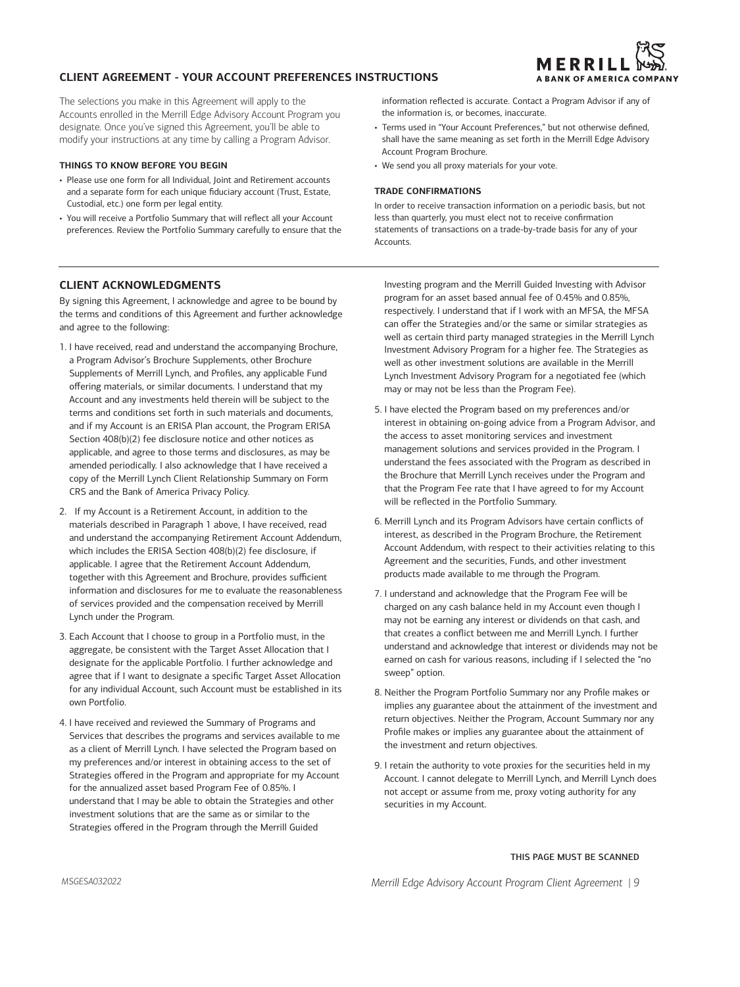# **CLIENT AGREEMENT - YOUR ACCOUNT PREFERENCES INSTRUCTIONS**

The selections you make in this Agreement will apply to the Accounts enrolled in the Merrill Edge Advisory Account Program you designate. Once you've signed this Agreement, you'll be able to modify your instructions at any time by calling a Program Advisor.

# **THINGS TO KNOW BEFORE YOU BEGIN**

- Please use one form for all Individual, Joint and Retirement accounts and a separate form for each unique fiduciary account (Trust, Estate, Custodial, etc.) one form per legal entity.
- You will receive a Portfolio Summary that will reflect all your Account preferences. Review the Portfolio Summary carefully to ensure that the

information reflected is accurate. Contact a Program Advisor if any of the information is, or becomes, inaccurate.

- Terms used in "Your Account Preferences," but not otherwise defined, shall have the same meaning as set forth in the Merrill Edge Advisory Account Program Brochure.
- We send you all proxy materials for your vote.

# **TRADE CONFIRMATIONS**

In order to receive transaction information on a periodic basis, but not less than quarterly, you must elect not to receive confirmation statements of transactions on a trade-by-trade basis for any of your **Accounts** 

# **CLIENT ACKNOWLEDGMENTS**

By signing this Agreement, I acknowledge and agree to be bound by the terms and conditions of this Agreement and further acknowledge and agree to the following:

- 1. I have received, read and understand the accompanying Brochure, a Program Advisor's Brochure Supplements, other Brochure Supplements of Merrill Lynch, and Profiles, any applicable Fund offering materials, or similar documents. I understand that my Account and any investments held therein will be subject to the terms and conditions set forth in such materials and documents, and if my Account is an ERISA Plan account, the Program ERISA Section 408(b)(2) fee disclosure notice and other notices as applicable, and agree to those terms and disclosures, as may be amended periodically. I also acknowledge that I have received a copy of the Merrill Lynch Client Relationship Summary on Form CRS and the Bank of America Privacy Policy.
- 2. If my Account is a Retirement Account, in addition to the materials described in Paragraph 1 above, I have received, read and understand the accompanying Retirement Account Addendum, which includes the ERISA Section 408(b)(2) fee disclosure, if applicable. I agree that the Retirement Account Addendum, together with this Agreement and Brochure, provides sufficient information and disclosures for me to evaluate the reasonableness of services provided and the compensation received by Merrill Lynch under the Program.
- 3. Each Account that I choose to group in a Portfolio must, in the aggregate, be consistent with the Target Asset Allocation that I designate for the applicable Portfolio. I further acknowledge and agree that if I want to designate a specific Target Asset Allocation for any individual Account, such Account must be established in its own Portfolio.
- 4. I have received and reviewed the Summary of Programs and Services that describes the programs and services available to me as a client of Merrill Lynch. I have selected the Program based on my preferences and/or interest in obtaining access to the set of Strategies offered in the Program and appropriate for my Account for the annualized asset based Program Fee of 0.85%. I understand that I may be able to obtain the Strategies and other investment solutions that are the same as or similar to the Strategies offered in the Program through the Merrill Guided

Investing program and the Merrill Guided Investing with Advisor program for an asset based annual fee of 0.45% and 0.85%, respectively. I understand that if I work with an MFSA, the MFSA can offer the Strategies and/or the same or similar strategies as well as certain third party managed strategies in the Merrill Lynch Investment Advisory Program for a higher fee. The Strategies as well as other investment solutions are available in the Merrill Lynch Investment Advisory Program for a negotiated fee (which may or may not be less than the Program Fee).

- 5. I have elected the Program based on my preferences and/or interest in obtaining on-going advice from a Program Advisor, and the access to asset monitoring services and investment management solutions and services provided in the Program. I understand the fees associated with the Program as described in the Brochure that Merrill Lynch receives under the Program and that the Program Fee rate that I have agreed to for my Account will be reflected in the Portfolio Summary.
- 6. Merrill Lynch and its Program Advisors have certain conflicts of interest, as described in the Program Brochure, the Retirement Account Addendum, with respect to their activities relating to this Agreement and the securities, Funds, and other investment products made available to me through the Program.
- 7. I understand and acknowledge that the Program Fee will be charged on any cash balance held in my Account even though I may not be earning any interest or dividends on that cash, and that creates a conflict between me and Merrill Lynch. I further understand and acknowledge that interest or dividends may not be earned on cash for various reasons, including if I selected the "no sweep" option.
- 8. Neither the Program Portfolio Summary nor any Profile makes or implies any guarantee about the attainment of the investment and return objectives. Neither the Program, Account Summary nor any Profile makes or implies any guarantee about the attainment of the investment and return objectives.
- 9. I retain the authority to vote proxies for the securities held in my Account. I cannot delegate to Merrill Lynch, and Merrill Lynch does not accept or assume from me, proxy voting authority for any securities in my Account.

# THIS PAGE MUST BE SCANNED